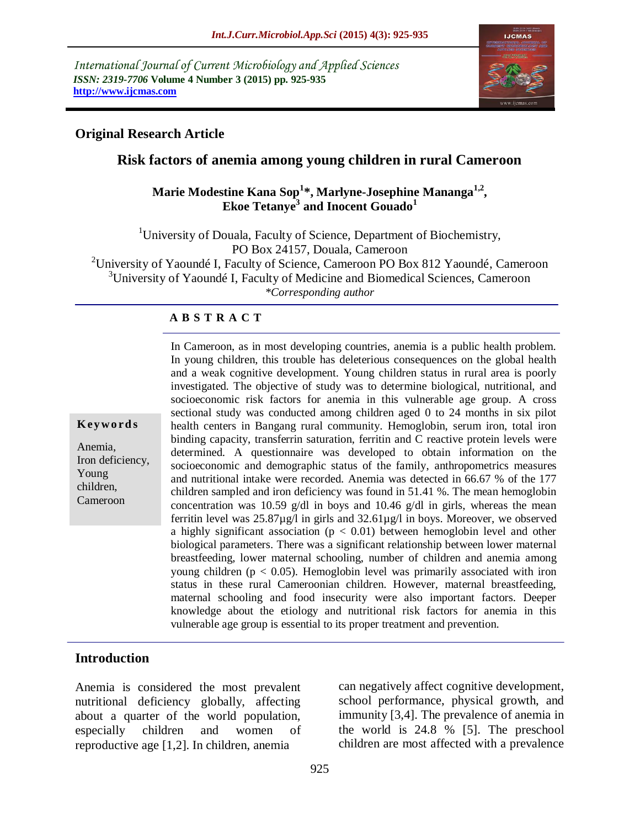*International Journal of Current Microbiology and Applied Sciences ISSN: 2319-7706* **Volume 4 Number 3 (2015) pp. 925-935 http://www.ijcmas.com** 



## **Original Research Article**

## **Risk factors of anemia among young children in rural Cameroon**

## **Marie Modestine Kana Sop<sup>1</sup> \*, Marlyne-Josephine Mananga1,2 , Ekoe Tetanye<sup>3</sup> and Inocent Gouado<sup>1</sup>**

<sup>1</sup>University of Douala, Faculty of Science, Department of Biochemistry, PO Box 24157, Douala, Cameroon <sup>2</sup>University of Yaoundé I, Faculty of Science, Cameroon PO Box 812 Yaoundé, Cameroon  $3$ University of Yaoundé I, Faculty of Medicine and Biomedical Sciences, Cameroon *\*Corresponding author*

### **A B S T R A C T**

#### **K ey w o rd s**

Anemia, Iron deficiency, Young children, Cameroon

In Cameroon, as in most developing countries, anemia is a public health problem. In young children, this trouble has deleterious consequences on the global health and a weak cognitive development. Young children status in rural area is poorly investigated. The objective of study was to determine biological, nutritional, and socioeconomic risk factors for anemia in this vulnerable age group. A cross sectional study was conducted among children aged 0 to 24 months in six pilot health centers in Bangang rural community. Hemoglobin, serum iron, total iron binding capacity, transferrin saturation, ferritin and C reactive protein levels were determined. A questionnaire was developed to obtain information on the socioeconomic and demographic status of the family, anthropometrics measures and nutritional intake were recorded. Anemia was detected in 66.67 % of the 177 children sampled and iron deficiency was found in 51.41 %. The mean hemoglobin concentration was 10.59 g/dl in boys and 10.46 g/dl in girls, whereas the mean ferritin level was 25.87µg/l in girls and 32.61µg/l in boys. Moreover, we observed a highly significant association ( $p < 0.01$ ) between hemoglobin level and other biological parameters. There was a significant relationship between lower maternal breastfeeding, lower maternal schooling, number of children and anemia among young children ( $p < 0.05$ ). Hemoglobin level was primarily associated with iron status in these rural Cameroonian children. However, maternal breastfeeding, maternal schooling and food insecurity were also important factors. Deeper knowledge about the etiology and nutritional risk factors for anemia in this vulnerable age group is essential to its proper treatment and prevention.

## **Introduction**

Anemia is considered the most prevalent nutritional deficiency globally, affecting about a quarter of the world population, especially children and women of reproductive age [1,2]. In children, anemia

can negatively affect cognitive development, school performance, physical growth, and immunity [3,4]. The prevalence of anemia in the world is 24.8 % [5]. The preschool children are most affected with a prevalence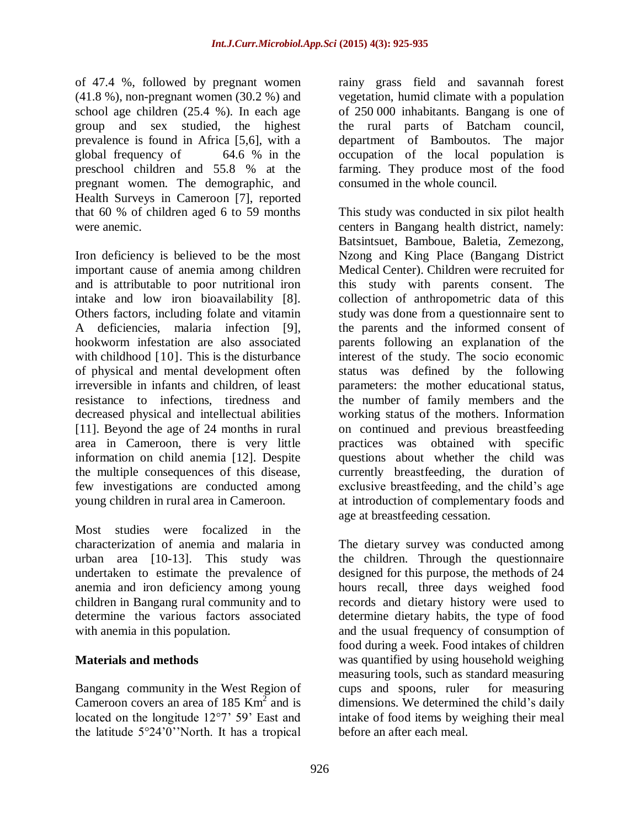of 47.4 %, followed by pregnant women (41.8 %), non-pregnant women (30.2 %) and school age children (25.4 %). In each age group and sex studied, the highest prevalence is found in Africa [5,6], with a global frequency of 64.6 % in the preschool children and 55.8 % at the pregnant women. The demographic, and Health Surveys in Cameroon [7], reported that 60 % of children aged 6 to 59 months were anemic.

Iron deficiency is believed to be the most important cause of anemia among children and is attributable to poor nutritional iron intake and low iron bioavailability [8]. Others factors, including folate and vitamin A deficiencies, malaria infection [9], hookworm infestation are also associated with childhood [10]. This is the disturbance of physical and mental development often irreversible in infants and children, of least resistance to infections, tiredness and decreased physical and intellectual abilities [11]. Beyond the age of 24 months in rural area in Cameroon, there is very little information on child anemia [12]. Despite the multiple consequences of this disease, few investigations are conducted among young children in rural area in Cameroon.

Most studies were focalized in the characterization of anemia and malaria in urban area [10-13]. This study was undertaken to estimate the prevalence of anemia and iron deficiency among young children in Bangang rural community and to determine the various factors associated with anemia in this population.

## **Materials and methods**

Bangang community in the West Region of Cameroon covers an area of 185  $\text{Km}^2$  and is located on the longitude 12°7' 59' East and the latitude 5°24'0''North. It has a tropical

rainy grass field and savannah forest vegetation, humid climate with a population of 250 000 inhabitants. Bangang is one of the rural parts of Batcham council, department of Bamboutos. The major occupation of the local population is farming. They produce most of the food consumed in the whole council.

This study was conducted in six pilot health centers in Bangang health district, namely: Batsintsuet, Bamboue, Baletia, Zemezong, Nzong and King Place (Bangang District Medical Center). Children were recruited for this study with parents consent. The collection of anthropometric data of this study was done from a questionnaire sent to the parents and the informed consent of parents following an explanation of the interest of the study. The socio economic status was defined by the following parameters: the mother educational status, the number of family members and the working status of the mothers. Information on continued and previous breastfeeding practices was obtained with specific questions about whether the child was currently breastfeeding, the duration of exclusive breastfeeding, and the child's age at introduction of complementary foods and age at breastfeeding cessation.

The dietary survey was conducted among the children. Through the questionnaire designed for this purpose, the methods of 24 hours recall, three days weighed food records and dietary history were used to determine dietary habits, the type of food and the usual frequency of consumption of food during a week. Food intakes of children was quantified by using household weighing measuring tools, such as standard measuring cups and spoons, ruler for measuring dimensions. We determined the child's daily intake of food items by weighing their meal before an after each meal.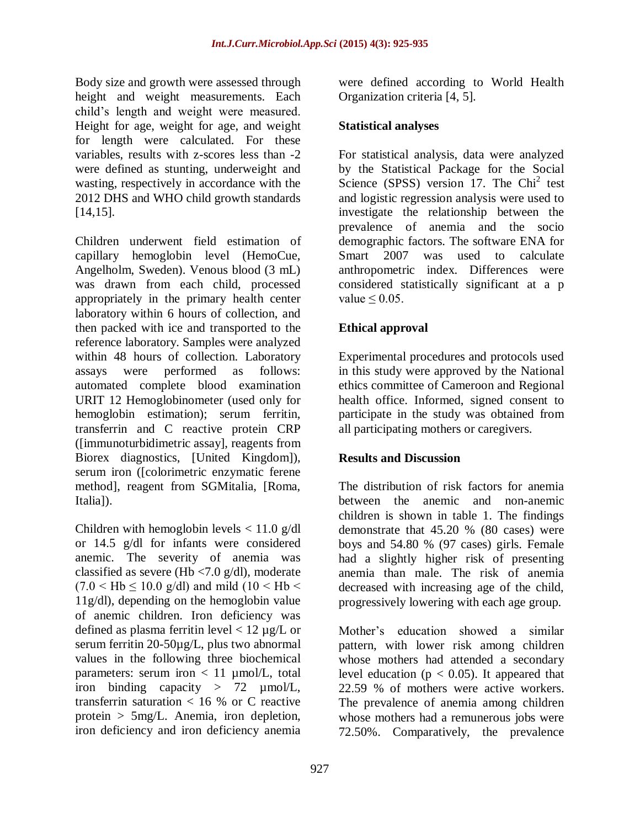Body size and growth were assessed through height and weight measurements. Each child's length and weight were measured. Height for age, weight for age, and weight for length were calculated. For these variables, results with z-scores less than -2 were defined as stunting, underweight and wasting, respectively in accordance with the 2012 DHS and WHO child growth standards [14,15].

Children underwent field estimation of capillary hemoglobin level (HemoCue, Angelholm, Sweden). Venous blood (3 mL) was drawn from each child, processed appropriately in the primary health center laboratory within 6 hours of collection, and then packed with ice and transported to the reference laboratory. Samples were analyzed within 48 hours of collection. Laboratory assays were performed as follows: automated complete blood examination URIT 12 Hemoglobinometer (used only for hemoglobin estimation); serum ferritin, transferrin and C reactive protein CRP ([immunoturbidimetric assay], reagents from Biorex diagnostics, [United Kingdom]), serum iron ([colorimetric enzymatic ferene method], reagent from SGMitalia, [Roma, Italia]).

Children with hemoglobin levels  $< 11.0$  g/dl or 14.5 g/dl for infants were considered anemic. The severity of anemia was classified as severe (Hb <7.0 g/dl), moderate  $(7.0 <$  Hb  $\leq 10.0$  g/dl) and mild  $(10 <$  Hb  $<$ 11g/dl), depending on the hemoglobin value of anemic children. Iron deficiency was defined as plasma ferritin level  $< 12 \mu g/L$  or serum ferritin 20-50µg/L, plus two abnormal values in the following three biochemical parameters: serum iron  $< 11$  µmol/L, total iron binding capacity > 72 µmol/L, transferrin saturation < 16 % or C reactive protein > 5mg/L. Anemia, iron depletion, iron deficiency and iron deficiency anemia

were defined according to World Health Organization criteria [4, 5].

# **Statistical analyses**

For statistical analysis, data were analyzed by the Statistical Package for the Social Science (SPSS) version 17. The Chi<sup>2</sup> test and logistic regression analysis were used to investigate the relationship between the prevalence of anemia and the socio demographic factors. The software ENA for Smart 2007 was used to calculate anthropometric index. Differences were considered statistically significant at a p value  $\leq 0.05$ .

# **Ethical approval**

Experimental procedures and protocols used in this study were approved by the National ethics committee of Cameroon and Regional health office. Informed, signed consent to participate in the study was obtained from all participating mothers or caregivers.

# **Results and Discussion**

The distribution of risk factors for anemia between the anemic and non-anemic children is shown in table 1. The findings demonstrate that 45.20 % (80 cases) were boys and 54.80 % (97 cases) girls. Female had a slightly higher risk of presenting anemia than male. The risk of anemia decreased with increasing age of the child, progressively lowering with each age group.

Mother's education showed a similar pattern, with lower risk among children whose mothers had attended a secondary level education ( $p < 0.05$ ). It appeared that 22.59 % of mothers were active workers. The prevalence of anemia among children whose mothers had a remunerous jobs were 72.50%. Comparatively, the prevalence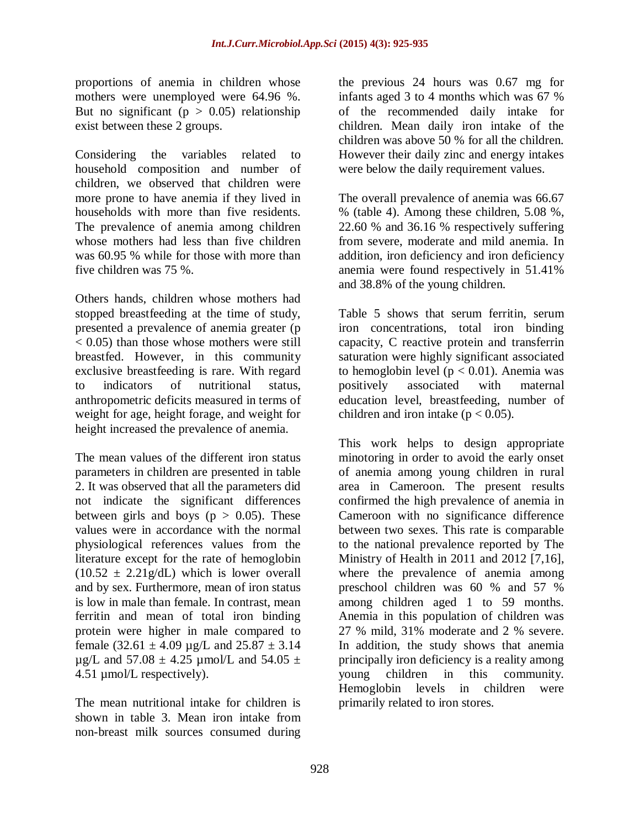proportions of anemia in children whose mothers were unemployed were 64.96 %. But no significant ( $p > 0.05$ ) relationship exist between these 2 groups.

Considering the variables related to household composition and number of children, we observed that children were more prone to have anemia if they lived in households with more than five residents. The prevalence of anemia among children whose mothers had less than five children was 60.95 % while for those with more than five children was 75 %.

Others hands, children whose mothers had stopped breastfeeding at the time of study, presented a prevalence of anemia greater (p  $< 0.05$ ) than those whose mothers were still breastfed. However, in this community exclusive breastfeeding is rare. With regard to indicators of nutritional status, anthropometric deficits measured in terms of weight for age, height forage, and weight for height increased the prevalence of anemia.

The mean values of the different iron status parameters in children are presented in table 2. It was observed that all the parameters did not indicate the significant differences between girls and boys ( $p > 0.05$ ). These values were in accordance with the normal physiological references values from the literature except for the rate of hemoglobin  $(10.52 \pm 2.21 \text{g/dL})$  which is lower overall and by sex. Furthermore, mean of iron status is low in male than female. In contrast, mean ferritin and mean of total iron binding protein were higher in male compared to female  $(32.61 \pm 4.09 \text{ µg/L}$  and  $25.87 \pm 3.14$  $\mu$ g/L and 57.08 ± 4.25  $\mu$ mol/L and 54.05 ± 4.51 µmol/L respectively).

The mean nutritional intake for children is shown in table 3. Mean iron intake from non-breast milk sources consumed during

the previous 24 hours was 0.67 mg for infants aged 3 to 4 months which was 67 % of the recommended daily intake for children. Mean daily iron intake of the children was above 50 % for all the children. However their daily zinc and energy intakes were below the daily requirement values.

The overall prevalence of anemia was 66.67 % (table 4). Among these children, 5.08 %, 22.60 % and 36.16 % respectively suffering from severe, moderate and mild anemia. In addition, iron deficiency and iron deficiency anemia were found respectively in 51.41% and 38.8% of the young children.

Table 5 shows that serum ferritin, serum iron concentrations, total iron binding capacity, C reactive protein and transferrin saturation were highly significant associated to hemoglobin level ( $p < 0.01$ ). Anemia was positively associated with maternal education level, breastfeeding, number of children and iron intake ( $p < 0.05$ ).

This work helps to design appropriate minotoring in order to avoid the early onset of anemia among young children in rural area in Cameroon. The present results confirmed the high prevalence of anemia in Cameroon with no significance difference between two sexes. This rate is comparable to the national prevalence reported by The Ministry of Health in 2011 and 2012 [7,16], where the prevalence of anemia among preschool children was 60 % and 57 % among children aged 1 to 59 months. Anemia in this population of children was 27 % mild, 31% moderate and 2 % severe. In addition, the study shows that anemia principally iron deficiency is a reality among young children in this community. Hemoglobin levels in children were primarily related to iron stores.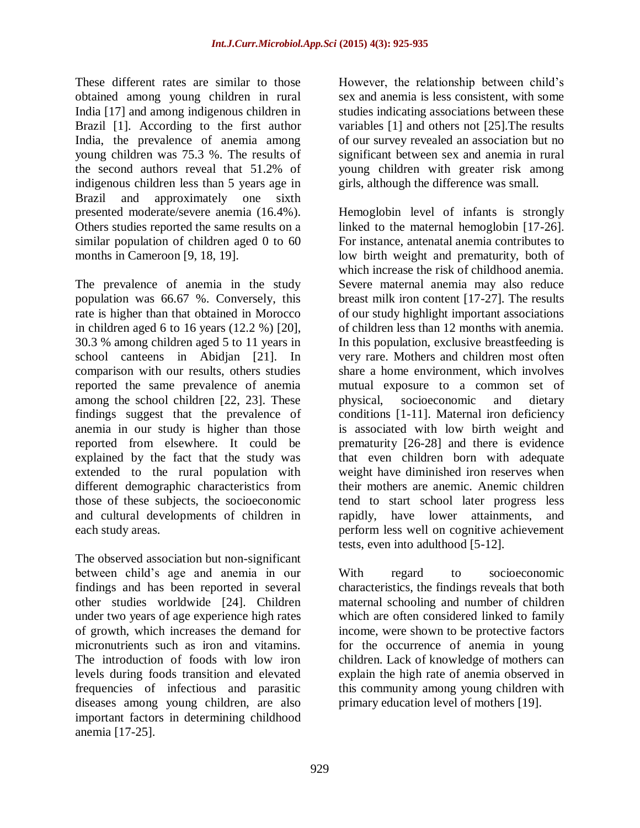These different rates are similar to those obtained among young children in rural India [17] and among indigenous children in Brazil [1]. According to the first author India, the prevalence of anemia among young children was 75.3 %. The results of the second authors reveal that 51.2% of indigenous children less than 5 years age in Brazil and approximately one sixth presented moderate/severe anemia (16.4%). Others studies reported the same results on a similar population of children aged 0 to 60 months in Cameroon [9, 18, 19].

The prevalence of anemia in the study population was 66.67 %. Conversely, this rate is higher than that obtained in Morocco in children aged 6 to 16 years (12.2 %) [20], 30.3 % among children aged 5 to 11 years in school canteens in Abidjan [21]. In comparison with our results, others studies reported the same prevalence of anemia among the school children [22, 23]. These findings suggest that the prevalence of anemia in our study is higher than those reported from elsewhere. It could be explained by the fact that the study was extended to the rural population with different demographic characteristics from those of these subjects, the socioeconomic and cultural developments of children in each study areas.

The observed association but non-significant between child's age and anemia in our findings and has been reported in several other studies worldwide [24]. Children under two years of age experience high rates of growth, which increases the demand for micronutrients such as iron and vitamins. The introduction of foods with low iron levels during foods transition and elevated frequencies of infectious and parasitic diseases among young children, are also important factors in determining childhood anemia [17-25].

However, the relationship between child's sex and anemia is less consistent, with some studies indicating associations between these variables [1] and others not [25].The results of our survey revealed an association but no significant between sex and anemia in rural young children with greater risk among girls, although the difference was small.

Hemoglobin level of infants is strongly linked to the maternal hemoglobin [17-26]. For instance, antenatal anemia contributes to low birth weight and prematurity, both of which increase the risk of childhood anemia. Severe maternal anemia may also reduce breast milk iron content [17-27]. The results of our study highlight important associations of children less than 12 months with anemia. In this population, exclusive breastfeeding is very rare. Mothers and children most often share a home environment, which involves mutual exposure to a common set of physical, socioeconomic and dietary conditions [1-11]. Maternal iron deficiency is associated with low birth weight and prematurity [26-28] and there is evidence that even children born with adequate weight have diminished iron reserves when their mothers are anemic. Anemic children tend to start school later progress less rapidly, have lower attainments, and perform less well on cognitive achievement tests, even into adulthood [5-12].

With regard to socioeconomic characteristics, the findings reveals that both maternal schooling and number of children which are often considered linked to family income, were shown to be protective factors for the occurrence of anemia in young children. Lack of knowledge of mothers can explain the high rate of anemia observed in this community among young children with primary education level of mothers [19].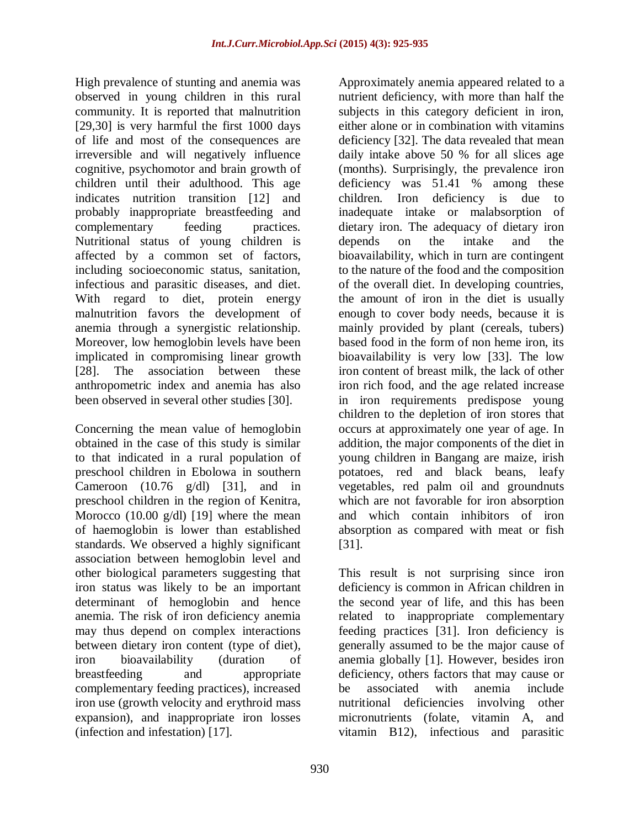High prevalence of stunting and anemia was observed in young children in this rural community. It is reported that malnutrition [29,30] is very harmful the first 1000 days of life and most of the consequences are irreversible and will negatively influence cognitive, psychomotor and brain growth of children until their adulthood. This age indicates nutrition transition [12] and probably inappropriate breastfeeding and complementary feeding practices. Nutritional status of young children is affected by a common set of factors, including socioeconomic status, sanitation, infectious and parasitic diseases, and diet. With regard to diet, protein energy malnutrition favors the development of anemia through a synergistic relationship. Moreover, low hemoglobin levels have been implicated in compromising linear growth [28]. The association between these anthropometric index and anemia has also been observed in several other studies [30].

Concerning the mean value of hemoglobin obtained in the case of this study is similar to that indicated in a rural population of preschool children in Ebolowa in southern Cameroon  $(10.76 \text{ g/dl})$  [31], and in preschool children in the region of Kenitra, Morocco  $(10.00 \text{ g/dl})$  [19] where the mean of haemoglobin is lower than established standards. We observed a highly significant association between hemoglobin level and other biological parameters suggesting that iron status was likely to be an important determinant of hemoglobin and hence anemia. The risk of iron deficiency anemia may thus depend on complex interactions between dietary iron content (type of diet), iron bioavailability (duration of breastfeeding and appropriate complementary feeding practices), increased iron use (growth velocity and erythroid mass expansion), and inappropriate iron losses (infection and infestation) [17].

Approximately anemia appeared related to a nutrient deficiency, with more than half the subjects in this category deficient in iron, either alone or in combination with vitamins deficiency [32]. The data revealed that mean daily intake above 50 % for all slices age (months). Surprisingly, the prevalence iron deficiency was 51.41 % among these children. Iron deficiency is due to inadequate intake or malabsorption of dietary iron. The adequacy of dietary iron depends on the intake and the bioavailability, which in turn are contingent to the nature of the food and the composition of the overall diet. In developing countries, the amount of iron in the diet is usually enough to cover body needs, because it is mainly provided by plant (cereals, tubers) based food in the form of non heme iron, its bioavailability is very low [33]. The low iron content of breast milk, the lack of other iron rich food, and the age related increase in iron requirements predispose young children to the depletion of iron stores that occurs at approximately one year of age. In addition, the major components of the diet in young children in Bangang are maize, irish potatoes, red and black beans, leafy vegetables, red palm oil and groundnuts which are not favorable for iron absorption and which contain inhibitors of iron absorption as compared with meat or fish [31].

This result is not surprising since iron deficiency is common in African children in the second year of life, and this has been related to inappropriate complementary feeding practices [31]. Iron deficiency is generally assumed to be the major cause of anemia globally [1]. However, besides iron deficiency, others factors that may cause or be associated with anemia include nutritional deficiencies involving other micronutrients (folate, vitamin A, and vitamin B12), infectious and parasitic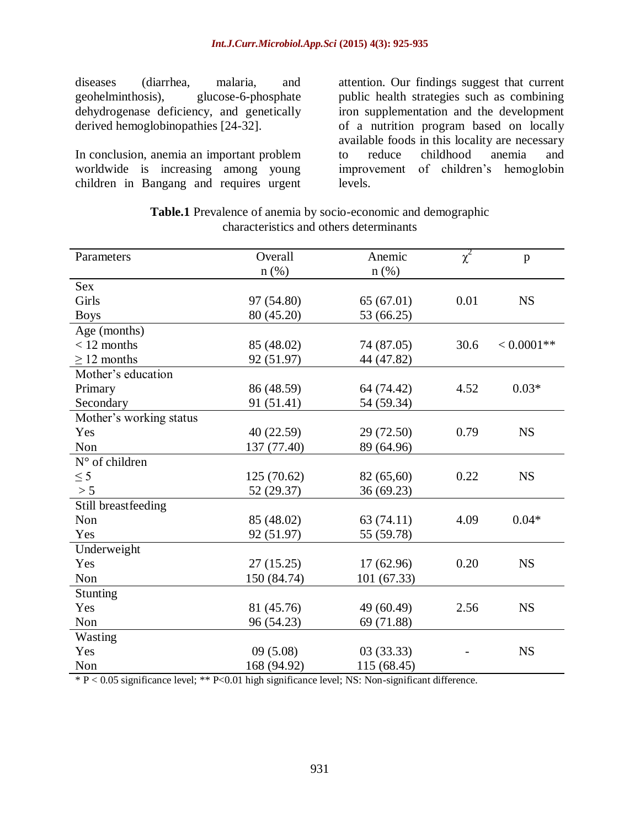diseases (diarrhea, malaria, and geohelminthosis), glucose-6-phosphate dehydrogenase deficiency, and genetically derived hemoglobinopathies [24-32].

In conclusion, anemia an important problem worldwide is increasing among young children in Bangang and requires urgent

attention. Our findings suggest that current public health strategies such as combining iron supplementation and the development of a nutrition program based on locally available foods in this locality are necessary to reduce childhood anemia and improvement of children's hemoglobin levels.

| <b>Table.1</b> Prevalence of anemia by socio-economic and demographic |
|-----------------------------------------------------------------------|
| characteristics and others determinants                               |

| Parameters              | Overall     | Anemic      |          | $\mathbf{p}$  |
|-------------------------|-------------|-------------|----------|---------------|
|                         | $n$ (%)     | $n$ (%)     | $\chi^2$ |               |
| <b>Sex</b>              |             |             |          |               |
| Girls                   | 97 (54.80)  | 65(67.01)   | 0.01     | <b>NS</b>     |
| <b>Boys</b>             | 80 (45.20)  | 53 (66.25)  |          |               |
| Age (months)            |             |             |          |               |
| $< 12$ months           | 85 (48.02)  | 74 (87.05)  | 30.6     | $< 0.0001$ ** |
| $\geq$ 12 months        | 92 (51.97)  | 44 (47.82)  |          |               |
| Mother's education      |             |             |          |               |
| Primary                 | 86 (48.59)  | 64 (74.42)  | 4.52     | $0.03*$       |
| Secondary               | 91 (51.41)  | 54 (59.34)  |          |               |
| Mother's working status |             |             |          |               |
| Yes                     | 40 (22.59)  | 29 (72.50)  | 0.79     | <b>NS</b>     |
| Non                     | 137 (77.40) | 89 (64.96)  |          |               |
| N° of children          |             |             |          |               |
| $\leq$ 5                | 125(70.62)  | 82 (65,60)  | 0.22     | <b>NS</b>     |
| > 5                     | 52 (29.37)  | 36 (69.23)  |          |               |
| Still breastfeeding     |             |             |          |               |
| Non                     | 85 (48.02)  | 63 (74.11)  | 4.09     | $0.04*$       |
| Yes                     | 92 (51.97)  | 55 (59.78)  |          |               |
| Underweight             |             |             |          |               |
| Yes                     | 27(15.25)   | 17(62.96)   | 0.20     | <b>NS</b>     |
| Non                     | 150 (84.74) | 101 (67.33) |          |               |
| Stunting                |             |             |          |               |
| Yes                     | 81 (45.76)  | 49 (60.49)  | 2.56     | <b>NS</b>     |
| Non                     | 96 (54.23)  | 69 (71.88)  |          |               |
| Wasting                 |             |             |          |               |
| Yes                     | 09(5.08)    | 03(33.33)   |          | <b>NS</b>     |
| Non                     | 168 (94.92) | 115 (68.45) |          |               |

\* P < 0.05 significance level; \*\* P<0.01 high significance level; NS: Non-significant difference.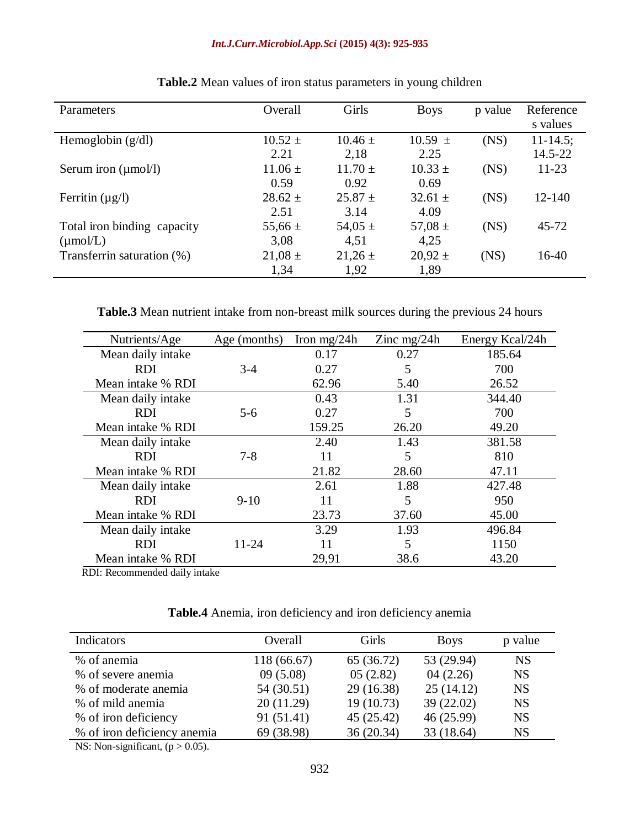#### *Int.J.Curr.Microbiol.App.Sci* **(2015) 4(3): 925-935**

| Parameters                      | Overall     | Girls       | <b>Boys</b> | p value | Reference<br>s values |
|---------------------------------|-------------|-------------|-------------|---------|-----------------------|
| Hemoglobin $(g/dl)$             | $10.52 \pm$ | $10.46 \pm$ | $10.59 \pm$ | (NS)    | $11 - 14.5$ ;         |
|                                 | 2.21        | 2,18        | 2.25        |         | 14.5-22               |
| Serum iron $(\mu \text{mol/l})$ | $11.06 \pm$ | $11.70 \pm$ | $10.33 \pm$ | (NS)    | $11 - 23$             |
|                                 | 0.59        | 0.92        | 0.69        |         |                       |
| Ferritin $(\mu g/l)$            | $28.62 \pm$ | $25.87 \pm$ | $32.61 \pm$ | (NS)    | $12 - 140$            |
|                                 | 2.51        | 3.14        | 4.09        |         |                       |
| Total iron binding capacity     | 55,66 $\pm$ | 54,05 $\pm$ | 57,08 $\pm$ | (NS)    | $45 - 72$             |
| $(\mu \text{mol/L})$            | 3,08        | 4,51        | 4,25        |         |                       |
| Transferrin saturation (%)      | $21,08 \pm$ | $21,26 \pm$ | $20,92 \pm$ | (NS)    | 16-40                 |
|                                 | 1,34        | 1,92        | 1,89        |         |                       |

## **Table.2** Mean values of iron status parameters in young children

**Table.3** Mean nutrient intake from non-breast milk sources during the previous 24 hours

| Nutrients/Age     | Age (months) | Iron mg/24 $h$ | Zinc mg/24h | Energy Kcal/24h |
|-------------------|--------------|----------------|-------------|-----------------|
| Mean daily intake |              | 0.17           | 0.27        | 185.64          |
| RDI               | $3-4$        | 0.27           | 5           | 700             |
| Mean intake % RDI |              | 62.96          | 5.40        | 26.52           |
| Mean daily intake |              | 0.43           | 1.31        | 344.40          |
| <b>RDI</b>        | $5-6$        | 0.27           | 5           | 700             |
| Mean intake % RDI |              | 159.25         | 26.20       | 49.20           |
| Mean daily intake |              | 2.40           | 1.43        | 381.58          |
| <b>RDI</b>        | $7 - 8$      | 11             | 5           | 810             |
| Mean intake % RDI |              | 21.82          | 28.60       | 47.11           |
| Mean daily intake |              | 2.61           | 1.88        | 427.48          |
| <b>RDI</b>        | $9-10$       | 11             | 5           | 950             |
| Mean intake % RDI |              | 23.73          | 37.60       | 45.00           |
| Mean daily intake |              | 3.29           | 1.93        | 496.84          |
| RDI               | 11-24        | 11             | 5           | 1150            |
| Mean intake % RDI |              | 29,91          | 38.6        | 43.20           |

RDI: Recommended daily intake

**Table.4** Anemia, iron deficiency and iron deficiency anemia

| Indicators                                                | Overall     | Girls      | <b>Boys</b> | p value   |  |
|-----------------------------------------------------------|-------------|------------|-------------|-----------|--|
| % of anemia                                               | 118 (66.67) | 65 (36.72) | 53 (29.94)  | <b>NS</b> |  |
| % of severe anemia                                        | 09(5.08)    | 05(2.82)   | 04(2.26)    | <b>NS</b> |  |
| % of moderate anemia                                      | 54 (30.51)  | 29(16.38)  | 25(14.12)   | <b>NS</b> |  |
| % of mild anemia                                          | 20(11.29)   | 19(10.73)  | 39 (22.02)  | <b>NS</b> |  |
| % of iron deficiency                                      | 91 (51.41)  | 45(25.42)  | 46 (25.99)  | <b>NS</b> |  |
| % of iron deficiency anemia                               | 69 (38.98)  | 36 (20.34) | 33 (18.64)  | <b>NS</b> |  |
| $\mathbf{X}$<br>$\sim$ $\sim$ $\sim$ $\sim$ $\sim$ $\sim$ |             |            |             |           |  |

NS: Non-significant,  $(p > 0.05)$ .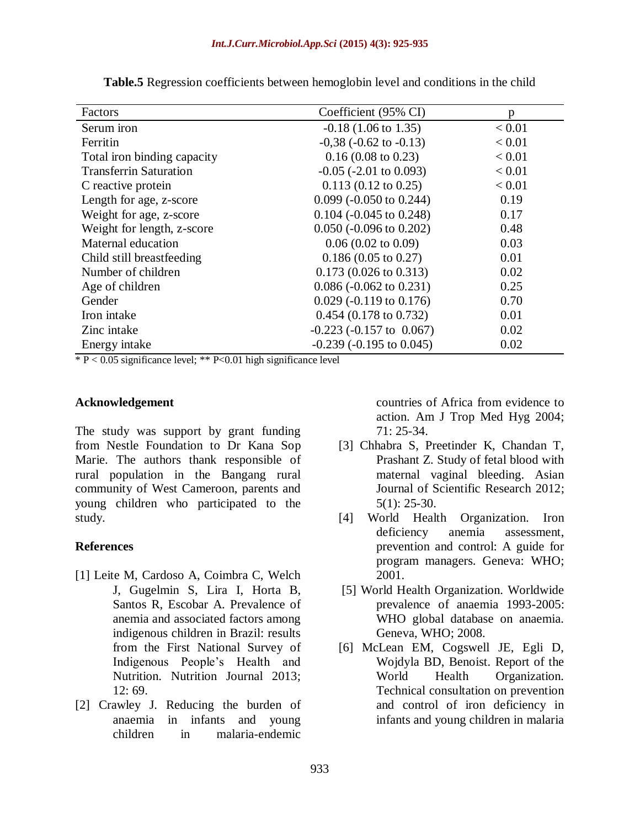| Factors                       | Coefficient (95% CI)             | p      |
|-------------------------------|----------------------------------|--------|
| Serum iron                    | $-0.18$ (1.06 to 1.35)           | < 0.01 |
| Ferritin                      | $-0.38$ ( $-0.62$ to $-0.13$ )   | < 0.01 |
| Total iron binding capacity   | $0.16(0.08 \text{ to } 0.23)$    | < 0.01 |
| <b>Transferrin Saturation</b> | $-0.05$ ( $-2.01$ to 0.093)      | < 0.01 |
| C reactive protein            | $0.113(0.12 \text{ to } 0.25)$   | < 0.01 |
| Length for age, z-score       | $0.099$ (-0.050 to 0.244)        | 0.19   |
| Weight for age, z-score       | $0.104$ (-0.045 to 0.248)        | 0.17   |
| Weight for length, z-score    | $0.050$ (-0.096 to 0.202)        | 0.48   |
| Maternal education            | $0.06(0.02 \text{ to } 0.09)$    | 0.03   |
| Child still breastfeeding     | $0.186(0.05 \text{ to } 0.27)$   | 0.01   |
| Number of children            | $0.173(0.026 \text{ to } 0.313)$ | 0.02   |
| Age of children               | $0.086$ (-0.062 to 0.231)        | 0.25   |
| Gender                        | $0.029$ (-0.119 to 0.176)        | 0.70   |
| Iron intake                   | $0.454$ (0.178 to 0.732)         | 0.01   |
| Zinc intake                   | $-0.223$ ( $-0.157$ to 0.067)    | 0.02   |
| Energy intake                 | $-0.239$ ( $-0.195$ to $0.045$ ) | 0.02   |

**Table.5** Regression coefficients between hemoglobin level and conditions in the child

 $* P < 0.05$  significance level;  $* P < 0.01$  high significance level

#### **Acknowledgement**

The study was support by grant funding from Nestle Foundation to Dr Kana Sop Marie. The authors thank responsible of rural population in the Bangang rural community of West Cameroon, parents and young children who participated to the study.

### **References**

- [1] Leite M, Cardoso A, Coimbra C, Welch J, Gugelmin S, Lira I, Horta B, Santos R, Escobar A. Prevalence of anemia and associated factors among indigenous children in Brazil: results from the First National Survey of Indigenous People's Health and Nutrition. Nutrition Journal 2013; 12: 69.
- [2] Crawley J. Reducing the burden of anaemia in infants and young children in malaria-endemic

countries of Africa from evidence to action. Am J Trop Med Hyg 2004; 71: 25-34.

- [3] Chhabra S, Preetinder K, Chandan T, Prashant Z. Study of fetal blood with maternal vaginal bleeding. Asian Journal of Scientific Research 2012; 5(1): 25-30.
- [4] World Health Organization. Iron deficiency anemia assessment, prevention and control: A guide for program managers. Geneva: WHO; 2001.
- [5] World Health Organization. Worldwide prevalence of anaemia 1993-2005: WHO global database on anaemia. Geneva, WHO; 2008.
- [6] McLean EM, Cogswell JE, Egli D, Wojdyla BD, Benoist. Report of the World Health Organization. Technical consultation on prevention and control of iron deficiency in infants and young children in malaria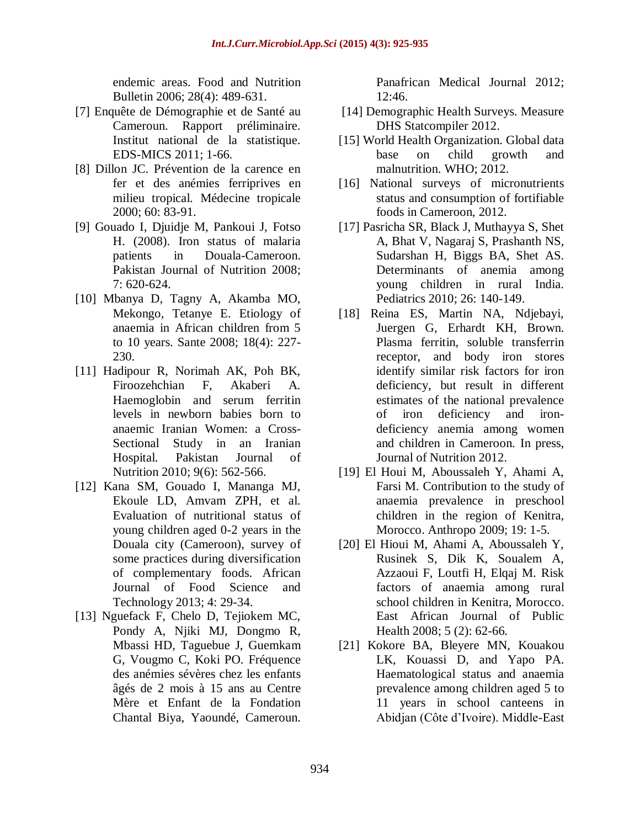endemic areas. Food and Nutrition Bulletin 2006; 28(4): 489-631.

- [7] Enquête de Démographie et de Santé au Cameroun. Rapport préliminaire. Institut national de la statistique. EDS-MICS 2011; 1-66.
- [8] Dillon JC. Prévention de la carence en fer et des anémies ferriprives en milieu tropical. Médecine tropicale 2000; 60: 83-91.
- [9] Gouado I, Djuidje M, Pankoui J, Fotso H. (2008). Iron status of malaria patients in Douala-Cameroon. Pakistan Journal of Nutrition 2008; 7: 620-624.
- [10] Mbanya D, Tagny A, Akamba MO, Mekongo, Tetanye E. Etiology of anaemia in African children from 5 to 10 years. Sante 2008; 18(4): 227- 230.
- [11] Hadipour R, Norimah AK, Poh BK, Firoozehchian F, Akaberi A. Haemoglobin and serum ferritin levels in newborn babies born to anaemic Iranian Women: a Cross-Sectional Study in an Iranian Hospital. Pakistan Journal of Nutrition 2010; 9(6): 562-566.
- [12] Kana SM, Gouado I, Mananga MJ, Ekoule LD, Amvam ZPH, et al. Evaluation of nutritional status of young children aged 0-2 years in the Douala city (Cameroon), survey of some practices during diversification of complementary foods. African Journal of Food Science and Technology 2013; 4: 29-34.
- [13] Nguefack F, Chelo D, Tejiokem MC, Pondy A, Njiki MJ, Dongmo R, Mbassi HD, Taguebue J, Guemkam G, Vougmo C, Koki PO. Fréquence des anémies sévères chez les enfants âgés de 2 mois à 15 ans au Centre Mère et Enfant de la Fondation Chantal Biya, Yaoundé, Cameroun.

Panafrican Medical Journal 2012; 12:46.

- [14] Demographic Health Surveys. Measure DHS Statcompiler 2012.
- [15] World Health Organization. Global data base on child growth and malnutrition. WHO; 2012.
- [16] National surveys of micronutrients status and consumption of fortifiable foods in Cameroon, 2012.
- [17] Pasricha SR, Black J, Muthayya S, Shet A, Bhat V, Nagaraj S, Prashanth NS, Sudarshan H, Biggs BA, Shet AS. Determinants of anemia among young children in rural India. Pediatrics 2010; 26: 140-149.
- [18] Reina ES, Martin NA, Ndjebayi, Juergen G, Erhardt KH, Brown. Plasma ferritin, soluble transferrin receptor, and body iron stores identify similar risk factors for iron deficiency, but result in different estimates of the national prevalence of iron deficiency and irondeficiency anemia among women and children in Cameroon*.* In press, Journal of Nutrition 2012.
- [19] El Houi M, Aboussaleh Y, Ahami A, Farsi M. Contribution to the study of anaemia prevalence in preschool children in the region of Kenitra, Morocco. Anthropo 2009; 19: 1-5.
- [20] El Hioui M, Ahami A, Aboussaleh Y, Rusinek S, Dik K, Soualem A, Azzaoui F, Loutfi H, Elqaj M. Risk factors of anaemia among rural school children in Kenitra, Morocco. East African Journal of Public Health 2008; 5 (2): 62-66.
- [21] Kokore BA, Bleyere MN, Kouakou LK, Kouassi D, and Yapo PA. Haematological status and anaemia prevalence among children aged 5 to 11 years in school canteens in Abidjan (Côte d'Ivoire). Middle-East